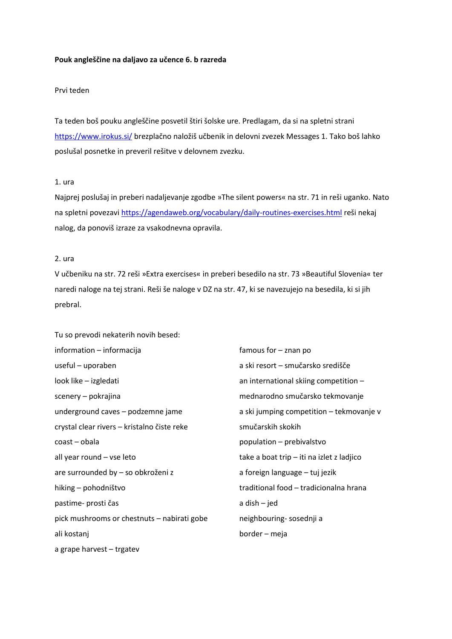#### **Pouk angleščine na daljavo za učence 6. b razreda**

#### Prvi teden

Ta teden boš pouku angleščine posvetil štiri šolske ure. Predlagam, da si na spletni strani <https://www.irokus.si/> brezplačno naložiš učbenik in delovni zvezek Messages 1. Tako boš lahko poslušal posnetke in preveril rešitve v delovnem zvezku.

#### 1. ura

Najprej poslušaj in preberi nadaljevanje zgodbe »The silent powers« na str. 71 in reši uganko. Nato na spletni povezav[i https://agendaweb.org/vocabulary/daily-routines-exercises.html](https://agendaweb.org/vocabulary/daily-routines-exercises.html) reši nekaj nalog, da ponoviš izraze za vsakodnevna opravila.

### 2. ura

V učbeniku na str. 72 reši »Extra exercises« in preberi besedilo na str. 73 »Beautiful Slovenia« ter naredi naloge na tej strani. Reši še naloge v DZ na str. 47, ki se navezujejo na besedila, ki si jih prebral.

Tu so prevodi nekaterih novih besed: information – informacija useful – uporaben look like – izgledati scenery – pokrajina underground caves – podzemne jame crystal clear rivers – kristalno čiste reke coast – obala all year round – vse leto are surrounded by – so obkroženi z hiking – pohodništvo pastime- prosti čas pick mushrooms or chestnuts – nabirati gobe ali kostanj a grape harvest – trgatev

famous for – znan po a ski resort – smučarsko središče an international skiing competition – mednarodno smučarsko tekmovanje a ski jumping competition – tekmovanje v smučarskih skokih population – prebivalstvo take a boat trip – iti na izlet z ladjico a foreign language – tuj jezik traditional food – tradicionalna hrana a dish – jed neighbouring- sosednji a border – meja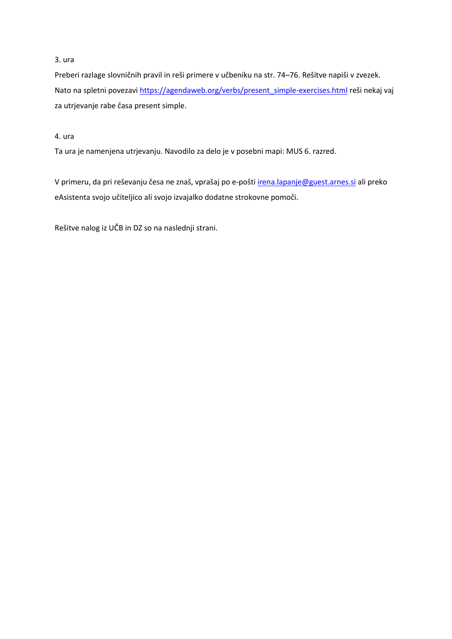## 3. ura

Preberi razlage slovničnih pravil in reši primere v učbeniku na str. 74–76. Rešitve napiši v zvezek. Nato na spletni povezavi [https://agendaweb.org/verbs/present\\_simple-exercises.html](https://agendaweb.org/verbs/present_simple-exercises.html) reši nekaj vaj za utrjevanje rabe časa present simple.

# 4. ura

Ta ura je namenjena utrjevanju. Navodilo za delo je v posebni mapi: MUS 6. razred.

V primeru, da pri reševanju česa ne znaš, vprašaj po e-pošti *[irena.lapanje@guest.arnes.si](mailto:irena.lapanje@guest.arnes.si)* ali preko eAsistenta svojo učiteljico ali svojo izvajalko dodatne strokovne pomoči.

Rešitve nalog iz UČB in DZ so na naslednji strani.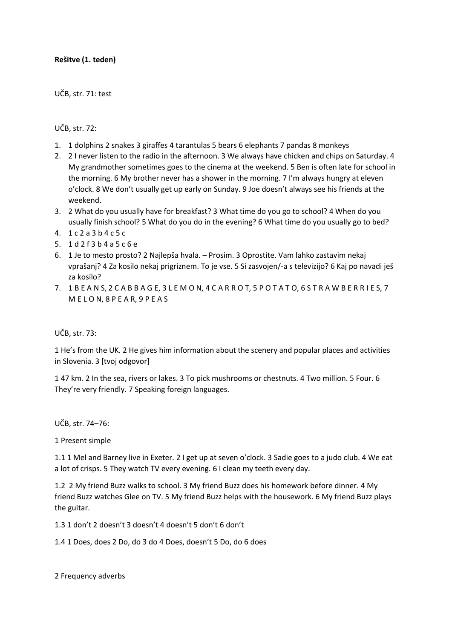# **Rešitve (1. teden)**

UČB, str. 71: test

UČB, str. 72:

- 1. 1 dolphins 2 snakes 3 giraffes 4 tarantulas 5 bears 6 elephants 7 pandas 8 monkeys
- 2. 2 I never listen to the radio in the afternoon. 3 We always have chicken and chips on Saturday. 4 My grandmother sometimes goes to the cinema at the weekend. 5 Ben is often late for school in the morning. 6 My brother never has a shower in the morning. 7 I'm always hungry at eleven o'clock. 8 We don't usually get up early on Sunday. 9 Joe doesn't always see his friends at the weekend.
- 3. 2 What do you usually have for breakfast? 3 What time do you go to school? 4 When do you usually finish school? 5 What do you do in the evening? 6 What time do you usually go to bed?
- 4. 1 c 2 a 3 b 4 c 5 c
- 5. 1 d 2 f 3 b 4 a 5 c 6 e
- 6. 1 Je to mesto prosto? 2 Najlepša hvala. Prosim. 3 Oprostite. Vam lahko zastavim nekaj vprašanj? 4 Za kosilo nekaj prigriznem. To je vse. 5 Si zasvojen/-a s televizijo? 6 Kaj po navadi ješ za kosilo?
- 7. 1 B E A N S, 2 C A B B A G E, 3 L E M O N, 4 C A R R O T, 5 P O T A T O, 6 S T R A W B E R R I E S, 7 M E L O N, 8 P E A R, 9 P E A S

### UČB, str. 73:

1 He's from the UK. 2 He gives him information about the scenery and popular places and activities in Slovenia. 3 [tvoj odgovor]

1 47 km. 2 In the sea, rivers or lakes. 3 To pick mushrooms or chestnuts. 4 Two million. 5 Four. 6 They're very friendly. 7 Speaking foreign languages.

UČB, str. 74–76:

1 Present simple

1.1 1 Mel and Barney live in Exeter. 2 I get up at seven o'clock. 3 Sadie goes to a judo club. 4 We eat a lot of crisps. 5 They watch TV every evening. 6 I clean my teeth every day.

1.2 2 My friend Buzz walks to school. 3 My friend Buzz does his homework before dinner. 4 My friend Buzz watches Glee on TV. 5 My friend Buzz helps with the housework. 6 My friend Buzz plays the guitar.

1.3 1 don't 2 doesn't 3 doesn't 4 doesn't 5 don't 6 don't

1.4 1 Does, does 2 Do, do 3 do 4 Does, doesn't 5 Do, do 6 does

2 Frequency adverbs